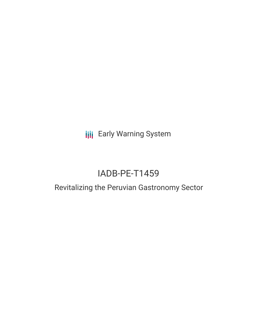**III** Early Warning System

# IADB-PE-T1459

## Revitalizing the Peruvian Gastronomy Sector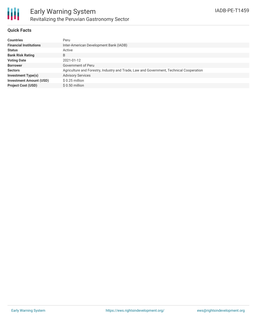

#### **Quick Facts**

| <b>Countries</b>               | Peru                                                                                    |
|--------------------------------|-----------------------------------------------------------------------------------------|
| <b>Financial Institutions</b>  | Inter-American Development Bank (IADB)                                                  |
| <b>Status</b>                  | Active                                                                                  |
| <b>Bank Risk Rating</b>        | B                                                                                       |
| <b>Voting Date</b>             | 2021-01-12                                                                              |
| <b>Borrower</b>                | Government of Peru                                                                      |
| <b>Sectors</b>                 | Agriculture and Forestry, Industry and Trade, Law and Government, Technical Cooperation |
| <b>Investment Type(s)</b>      | <b>Advisory Services</b>                                                                |
| <b>Investment Amount (USD)</b> | $$0.25$ million                                                                         |
| <b>Project Cost (USD)</b>      | $$0.50$ million                                                                         |
|                                |                                                                                         |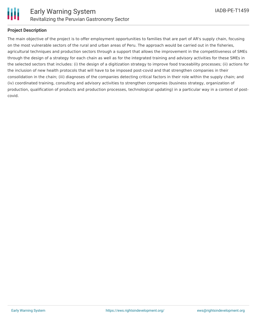

### **Project Description**

The main objective of the project is to offer employment opportunities to families that are part of AR's supply chain, focusing on the most vulnerable sectors of the rural and urban areas of Peru. The approach would be carried out in the fisheries, agricultural techniques and production sectors through a support that allows the improvement in the competitiveness of SMEs through the design of a strategy for each chain as well as for the integrated training and advisory activities for these SMEs in the selected sectors that includes: (i) the design of a digitization strategy to improve food traceability processes; (ii) actions for the inclusion of new health protocols that will have to be imposed post-covid and that strengthen companies in their consolidation in the chain; (iii) diagnoses of the companies detecting critical factors in their role within the supply chain; and (iv) coordinated training, consulting and advisory activities to strengthen companies (business strategy, organization of production, qualification of products and production processes, technological updating) in a particular way in a context of postcovid.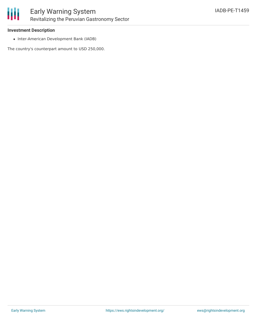

### **Investment Description**

• Inter-American Development Bank (IADB)

The country's counterpart amount to USD 250,000.